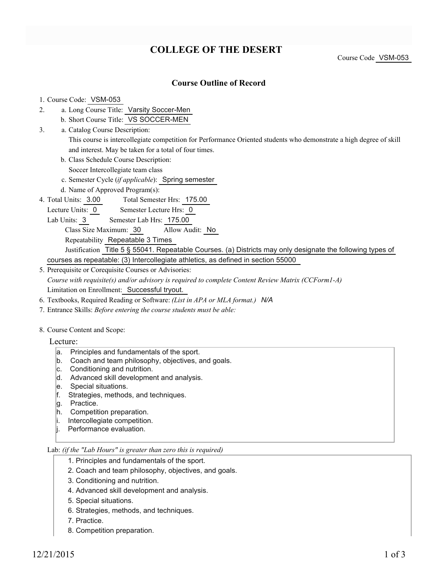## **COLLEGE OF THE DESERT**

Course Code VSM-053

### **Course Outline of Record**

#### 1. Course Code: VSM-053

- a. Long Course Title: Varsity Soccer-Men 2.
	- b. Short Course Title: VS SOCCER-MEN
- Catalog Course Description: a. This course is intercollegiate competition for Performance Oriented students who demonstrate a high degree of skill and interest. May be taken for a total of four times. 3.
	- b. Class Schedule Course Description:

Soccer Intercollegiate team class

- c. Semester Cycle (*if applicable*): Spring semester
- d. Name of Approved Program(s):
- Total Semester Hrs: 175.00 4. Total Units: 3.00
- Lecture Units: 0 Semester Lecture Hrs: 0
	- Lab Units: 3 Semester Lab Hrs: 175.00
		- Class Size Maximum: 30 Allow Audit: No

Repeatability Repeatable 3 Times

Justification Title 5 § 55041. Repeatable Courses. (a) Districts may only designate the following types of courses as repeatable: (3) Intercollegiate athletics, as defined in section 55000

- 5. Prerequisite or Corequisite Courses or Advisories: *Course with requisite(s) and/or advisory is required to complete Content Review Matrix (CCForm1-A)* Limitation on Enrollment: Successful tryout.
- 6. Textbooks, Required Reading or Software: *(List in APA or MLA format.) N/A*
- 7. Entrance Skills: *Before entering the course students must be able:*

#### 8. Course Content and Scope:

- Lecture:
	- a. Principles and fundamentals of the sport.
	- b. Coach and team philosophy, objectives, and goals.
	- c. Conditioning and nutrition.
	- d. Advanced skill development and analysis.
	- e. Special situations.
	- f. Strategies, methods, and techniques.
	- g. Practice.
	- h. Competition preparation.
	- i. Intercollegiate competition.
	- |i. Performance evaluation.

#### Lab: *(if the "Lab Hours" is greater than zero this is required)*

- 1. Principles and fundamentals of the sport.
- 2. Coach and team philosophy, objectives, and goals.
- 3. Conditioning and nutrition.
- 4. Advanced skill development and analysis.
- 5. Special situations.
- 6. Strategies, methods, and techniques.
- 7. Practice.
- 8. Competition preparation.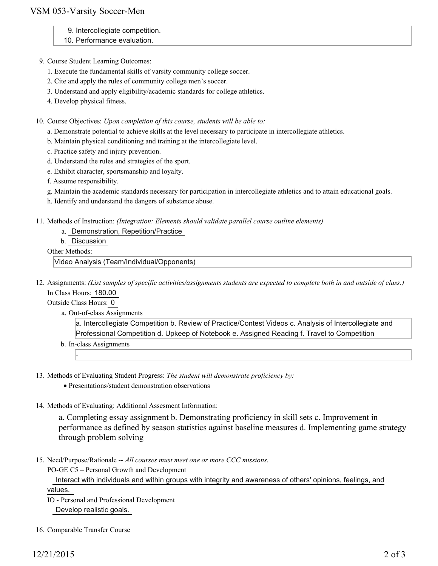## VSM 053-Varsity Soccer-Men

- 9. Intercollegiate competition.
- 10. Performance evaluation.
- 9. Course Student Learning Outcomes:
	- 1. Execute the fundamental skills of varsity community college soccer.
	- 2. Cite and apply the rules of community college men's soccer.
	- 3. Understand and apply eligibility/academic standards for college athletics.
	- 4. Develop physical fitness.

10. Course Objectives: Upon completion of this course, students will be able to:

- a. Demonstrate potential to achieve skills at the level necessary to participate in intercollegiate athletics.
- b. Maintain physical conditioning and training at the intercollegiate level.
- c. Practice safety and injury prevention.
- d. Understand the rules and strategies of the sport.
- e. Exhibit character, sportsmanship and loyalty.
- f. Assume responsibility.
- g. Maintain the academic standards necessary for participation in intercollegiate athletics and to attain educational goals.
- h. Identify and understand the dangers of substance abuse.
- 11. Methods of Instruction: *(Integration: Elements should validate parallel course outline elements)* 
	- a. Demonstration, Repetition/Practice
	- b. Discussion

Other Methods:

Video Analysis (Team/Individual/Opponents)

12. Assignments: (List samples of specific activities/assignments students are expected to complete both in and outside of class.) In Class Hours: 180.00

Outside Class Hours: 0

-

a. Out-of-class Assignments

a. Intercollegiate Competition b. Review of Practice/Contest Videos c. Analysis of Intercollegiate and Professional Competition d. Upkeep of Notebook e. Assigned Reading f. Travel to Competition

- b. In-class Assignments
- 13. Methods of Evaluating Student Progress: The student will demonstrate proficiency by:
	- Presentations/student demonstration observations
- 14. Methods of Evaluating: Additional Assesment Information:

a. Completing essay assignment b. Demonstrating proficiency in skill sets c. Improvement in performance as defined by season statistics against baseline measures d. Implementing game strategy through problem solving

15. Need/Purpose/Rationale -- All courses must meet one or more CCC missions.

PO-GE C5 – Personal Growth and Development

 Interact with individuals and within groups with integrity and awareness of others' opinions, feelings, and values.

- IO Personal and Professional Development Develop realistic goals.
- 16. Comparable Transfer Course